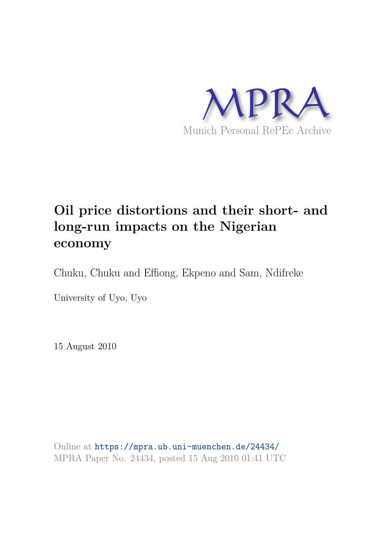

# **Oil price distortions and their short- and long-run impacts on the Nigerian economy**

Chuku, Chuku and Effiong, Ekpeno and Sam, Ndifreke

University of Uyo, Uyo

15 August 2010

Online at https://mpra.ub.uni-muenchen.de/24434/ MPRA Paper No. 24434, posted 15 Aug 2010 01:41 UTC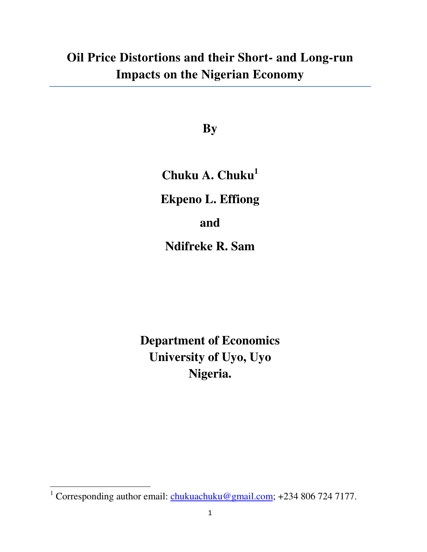# **Oil Price Distortions and their Short- and Long-run Impacts on the Nigerian Economy**

**By** 

**Chuku A. Chuku<sup>1</sup>**

**Ekpeno L. Effiong** 

**and** 

**Ndifreke R. Sam** 

**Department of Economics University of Uyo, Uyo Nigeria.** 

<sup>&</sup>lt;sup>1</sup> Corresponding author email:  $\frac{\text{chukuachuku@gmail.com}}{2 \text{cm}}$ ; +234 806 724 7177.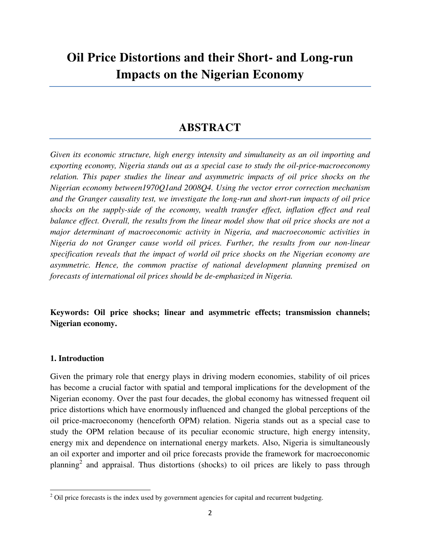# **Oil Price Distortions and their Short- and Long-run Impacts on the Nigerian Economy**

# **ABSTRACT**

*Given its economic structure, high energy intensity and simultaneity as an oil importing and exporting economy, Nigeria stands out as a special case to study the oil-price-macroeconomy relation. This paper studies the linear and asymmetric impacts of oil price shocks on the Nigerian economy between1970Q1and 2008Q4. Using the vector error correction mechanism and the Granger causality test, we investigate the long-run and short-run impacts of oil price*  shocks on the supply-side of the economy, wealth transfer effect, inflation effect and real *balance effect. Overall, the results from the linear model show that oil price shocks are not a major determinant of macroeconomic activity in Nigeria, and macroeconomic activities in Nigeria do not Granger cause world oil prices. Further, the results from our non-linear specification reveals that the impact of world oil price shocks on the Nigerian economy are asymmetric. Hence, the common practise of national development planning premised on forecasts of international oil prices should be de-emphasized in Nigeria.* 

**Keywords: Oil price shocks; linear and asymmetric effects; transmission channels; Nigerian economy.** 

### **1. Introduction**

 $\overline{a}$ 

Given the primary role that energy plays in driving modern economies, stability of oil prices has become a crucial factor with spatial and temporal implications for the development of the Nigerian economy. Over the past four decades, the global economy has witnessed frequent oil price distortions which have enormously influenced and changed the global perceptions of the oil price-macroeconomy (henceforth OPM) relation. Nigeria stands out as a special case to study the OPM relation because of its peculiar economic structure, high energy intensity, energy mix and dependence on international energy markets. Also, Nigeria is simultaneously an oil exporter and importer and oil price forecasts provide the framework for macroeconomic planning<sup>2</sup> and appraisal. Thus distortions (shocks) to oil prices are likely to pass through

 $2$  Oil price forecasts is the index used by government agencies for capital and recurrent budgeting.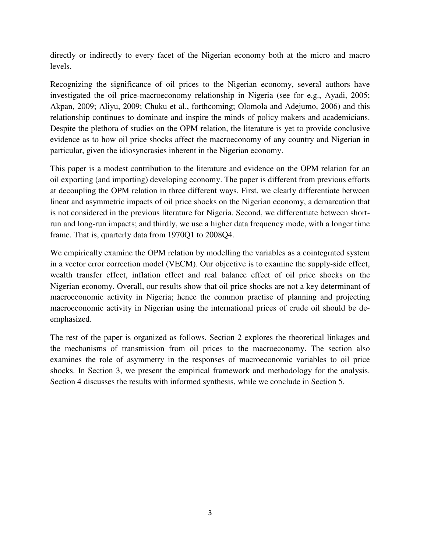directly or indirectly to every facet of the Nigerian economy both at the micro and macro levels.

Recognizing the significance of oil prices to the Nigerian economy, several authors have investigated the oil price-macroeconomy relationship in Nigeria (see for e.g., Ayadi, 2005; Akpan, 2009; Aliyu, 2009; Chuku et al., forthcoming; Olomola and Adejumo, 2006) and this relationship continues to dominate and inspire the minds of policy makers and academicians. Despite the plethora of studies on the OPM relation, the literature is yet to provide conclusive evidence as to how oil price shocks affect the macroeconomy of any country and Nigerian in particular, given the idiosyncrasies inherent in the Nigerian economy.

This paper is a modest contribution to the literature and evidence on the OPM relation for an oil exporting (and importing) developing economy. The paper is different from previous efforts at decoupling the OPM relation in three different ways. First, we clearly differentiate between linear and asymmetric impacts of oil price shocks on the Nigerian economy, a demarcation that is not considered in the previous literature for Nigeria. Second, we differentiate between shortrun and long-run impacts; and thirdly, we use a higher data frequency mode, with a longer time frame. That is, quarterly data from 1970Q1 to 2008Q4.

We empirically examine the OPM relation by modelling the variables as a cointegrated system in a vector error correction model (VECM). Our objective is to examine the supply-side effect, wealth transfer effect, inflation effect and real balance effect of oil price shocks on the Nigerian economy. Overall, our results show that oil price shocks are not a key determinant of macroeconomic activity in Nigeria; hence the common practise of planning and projecting macroeconomic activity in Nigerian using the international prices of crude oil should be deemphasized.

The rest of the paper is organized as follows. Section 2 explores the theoretical linkages and the mechanisms of transmission from oil prices to the macroeconomy. The section also examines the role of asymmetry in the responses of macroeconomic variables to oil price shocks. In Section 3, we present the empirical framework and methodology for the analysis. Section 4 discusses the results with informed synthesis, while we conclude in Section 5.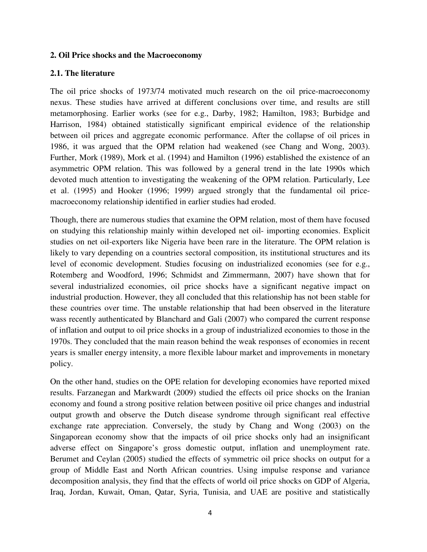#### **2. Oil Price shocks and the Macroeconomy**

### **2.1. The literature**

The oil price shocks of 1973/74 motivated much research on the oil price-macroeconomy nexus. These studies have arrived at different conclusions over time, and results are still metamorphosing. Earlier works (see for e.g., Darby, 1982; Hamilton, 1983; Burbidge and Harrison, 1984) obtained statistically significant empirical evidence of the relationship between oil prices and aggregate economic performance. After the collapse of oil prices in 1986, it was argued that the OPM relation had weakened (see Chang and Wong, 2003). Further, Mork (1989), Mork et al. (1994) and Hamilton (1996) established the existence of an asymmetric OPM relation. This was followed by a general trend in the late 1990s which devoted much attention to investigating the weakening of the OPM relation. Particularly, Lee et al. (1995) and Hooker (1996; 1999) argued strongly that the fundamental oil pricemacroeconomy relationship identified in earlier studies had eroded.

Though, there are numerous studies that examine the OPM relation, most of them have focused on studying this relationship mainly within developed net oil- importing economies. Explicit studies on net oil-exporters like Nigeria have been rare in the literature. The OPM relation is likely to vary depending on a countries sectoral composition, its institutional structures and its level of economic development. Studies focusing on industrialized economies (see for e.g., Rotemberg and Woodford, 1996; Schmidst and Zimmermann, 2007) have shown that for several industrialized economies, oil price shocks have a significant negative impact on industrial production. However, they all concluded that this relationship has not been stable for these countries over time. The unstable relationship that had been observed in the literature wass recently authenticated by Blanchard and Gali (2007) who compared the current response of inflation and output to oil price shocks in a group of industrialized economies to those in the 1970s. They concluded that the main reason behind the weak responses of economies in recent years is smaller energy intensity, a more flexible labour market and improvements in monetary policy.

On the other hand, studies on the OPE relation for developing economies have reported mixed results. Farzanegan and Markwardt (2009) studied the effects oil price shocks on the Iranian economy and found a strong positive relation between positive oil price changes and industrial output growth and observe the Dutch disease syndrome through significant real effective exchange rate appreciation. Conversely, the study by Chang and Wong (2003) on the Singaporean economy show that the impacts of oil price shocks only had an insignificant adverse effect on Singapore's gross domestic output, inflation and unemployment rate. Berumet and Ceylan (2005) studied the effects of symmetric oil price shocks on output for a group of Middle East and North African countries. Using impulse response and variance decomposition analysis, they find that the effects of world oil price shocks on GDP of Algeria, Iraq, Jordan, Kuwait, Oman, Qatar, Syria, Tunisia, and UAE are positive and statistically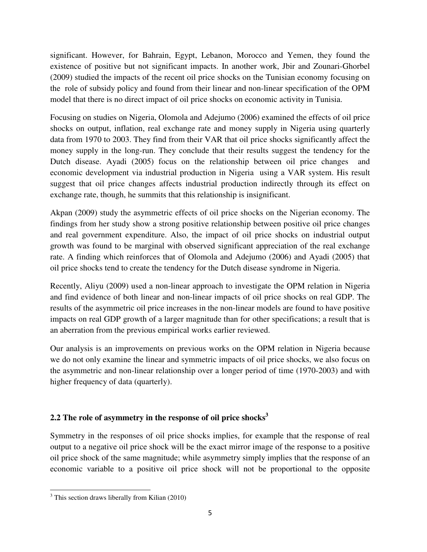significant. However, for Bahrain, Egypt, Lebanon, Morocco and Yemen, they found the existence of positive but not significant impacts. In another work, Jbir and Zounari-Ghorbel (2009) studied the impacts of the recent oil price shocks on the Tunisian economy focusing on the role of subsidy policy and found from their linear and non-linear specification of the OPM model that there is no direct impact of oil price shocks on economic activity in Tunisia.

Focusing on studies on Nigeria, Olomola and Adejumo (2006) examined the effects of oil price shocks on output, inflation, real exchange rate and money supply in Nigeria using quarterly data from 1970 to 2003. They find from their VAR that oil price shocks significantly affect the money supply in the long-run. They conclude that their results suggest the tendency for the Dutch disease. Ayadi (2005) focus on the relationship between oil price changes and economic development via industrial production in Nigeria using a VAR system. His result suggest that oil price changes affects industrial production indirectly through its effect on exchange rate, though, he summits that this relationship is insignificant.

Akpan (2009) study the asymmetric effects of oil price shocks on the Nigerian economy. The findings from her study show a strong positive relationship between positive oil price changes and real government expenditure. Also, the impact of oil price shocks on industrial output growth was found to be marginal with observed significant appreciation of the real exchange rate. A finding which reinforces that of Olomola and Adejumo (2006) and Ayadi (2005) that oil price shocks tend to create the tendency for the Dutch disease syndrome in Nigeria.

Recently, Aliyu (2009) used a non-linear approach to investigate the OPM relation in Nigeria and find evidence of both linear and non-linear impacts of oil price shocks on real GDP. The results of the asymmetric oil price increases in the non-linear models are found to have positive impacts on real GDP growth of a larger magnitude than for other specifications; a result that is an aberration from the previous empirical works earlier reviewed.

Our analysis is an improvements on previous works on the OPM relation in Nigeria because we do not only examine the linear and symmetric impacts of oil price shocks, we also focus on the asymmetric and non-linear relationship over a longer period of time (1970-2003) and with higher frequency of data (quarterly).

# **2.2 The role of asymmetry in the response of oil price shocks<sup>3</sup>**

Symmetry in the responses of oil price shocks implies, for example that the response of real output to a negative oil price shock will be the exact mirror image of the response to a positive oil price shock of the same magnitude; while asymmetry simply implies that the response of an economic variable to a positive oil price shock will not be proportional to the opposite

<sup>&</sup>lt;sup>3</sup> This section draws liberally from Kilian (2010)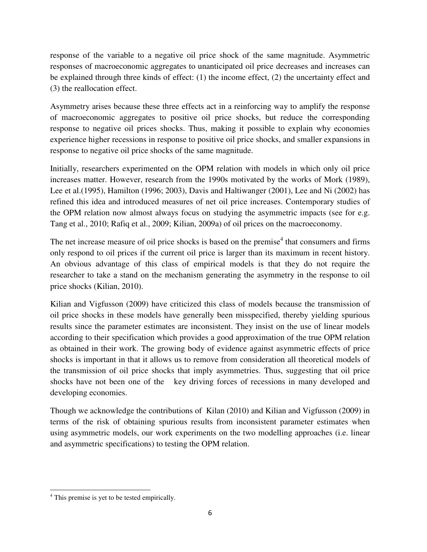response of the variable to a negative oil price shock of the same magnitude. Asymmetric responses of macroeconomic aggregates to unanticipated oil price decreases and increases can be explained through three kinds of effect:  $(1)$  the income effect,  $(2)$  the uncertainty effect and (3) the reallocation effect.

Asymmetry arises because these three effects act in a reinforcing way to amplify the response of macroeconomic aggregates to positive oil price shocks, but reduce the corresponding response to negative oil prices shocks. Thus, making it possible to explain why economies experience higher recessions in response to positive oil price shocks, and smaller expansions in response to negative oil price shocks of the same magnitude.

Initially, researchers experimented on the OPM relation with models in which only oil price increases matter. However, research from the 1990s motivated by the works of Mork (1989), Lee et al.(1995), Hamilton (1996; 2003), Davis and Haltiwanger (2001), Lee and Ni (2002) has refined this idea and introduced measures of net oil price increases. Contemporary studies of the OPM relation now almost always focus on studying the asymmetric impacts (see for e.g. Tang et al., 2010; Rafiq et al., 2009; Kilian, 2009a) of oil prices on the macroeconomy.

The net increase measure of oil price shocks is based on the premise<sup>4</sup> that consumers and firms only respond to oil prices if the current oil price is larger than its maximum in recent history. An obvious advantage of this class of empirical models is that they do not require the researcher to take a stand on the mechanism generating the asymmetry in the response to oil price shocks (Kilian, 2010).

Kilian and Vigfusson (2009) have criticized this class of models because the transmission of oil price shocks in these models have generally been misspecified, thereby yielding spurious results since the parameter estimates are inconsistent. They insist on the use of linear models according to their specification which provides a good approximation of the true OPM relation as obtained in their work. The growing body of evidence against asymmetric effects of price shocks is important in that it allows us to remove from consideration all theoretical models of the transmission of oil price shocks that imply asymmetries. Thus, suggesting that oil price shocks have not been one of the key driving forces of recessions in many developed and developing economies.

Though we acknowledge the contributions of Kilan (2010) and Kilian and Vigfusson (2009) in terms of the risk of obtaining spurious results from inconsistent parameter estimates when using asymmetric models, our work experiments on the two modelling approaches (i.e. linear and asymmetric specifications) to testing the OPM relation.

<sup>&</sup>lt;sup>4</sup> This premise is yet to be tested empirically.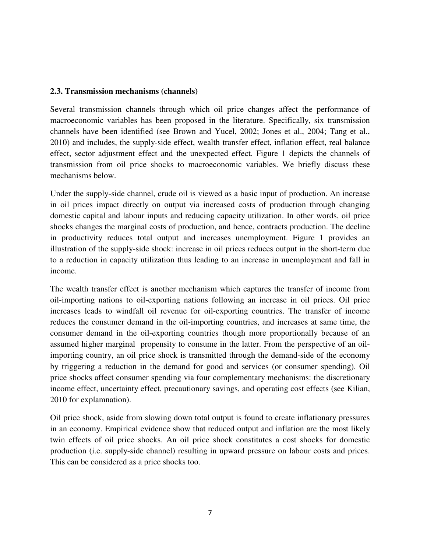### **2.3. Transmission mechanisms (channels)**

Several transmission channels through which oil price changes affect the performance of macroeconomic variables has been proposed in the literature. Specifically, six transmission channels have been identified (see Brown and Yucel, 2002; Jones et al., 2004; Tang et al., 2010) and includes, the supply-side effect, wealth transfer effect, inflation effect, real balance effect, sector adjustment effect and the unexpected effect. Figure 1 depicts the channels of transmission from oil price shocks to macroeconomic variables. We briefly discuss these mechanisms below.

Under the supply-side channel, crude oil is viewed as a basic input of production. An increase in oil prices impact directly on output via increased costs of production through changing domestic capital and labour inputs and reducing capacity utilization. In other words, oil price shocks changes the marginal costs of production, and hence, contracts production. The decline in productivity reduces total output and increases unemployment. Figure 1 provides an illustration of the supply-side shock: increase in oil prices reduces output in the short-term due to a reduction in capacity utilization thus leading to an increase in unemployment and fall in income.

The wealth transfer effect is another mechanism which captures the transfer of income from oil-importing nations to oil-exporting nations following an increase in oil prices. Oil price increases leads to windfall oil revenue for oil-exporting countries. The transfer of income reduces the consumer demand in the oil-importing countries, and increases at same time, the consumer demand in the oil-exporting countries though more proportionally because of an assumed higher marginal propensity to consume in the latter. From the perspective of an oilimporting country, an oil price shock is transmitted through the demand-side of the economy by triggering a reduction in the demand for good and services (or consumer spending). Oil price shocks affect consumer spending via four complementary mechanisms: the discretionary income effect, uncertainty effect, precautionary savings, and operating cost effects (see Kilian, 2010 for explamnation).

Oil price shock, aside from slowing down total output is found to create inflationary pressures in an economy. Empirical evidence show that reduced output and inflation are the most likely twin effects of oil price shocks. An oil price shock constitutes a cost shocks for domestic production (i.e. supply-side channel) resulting in upward pressure on labour costs and prices. This can be considered as a price shocks too.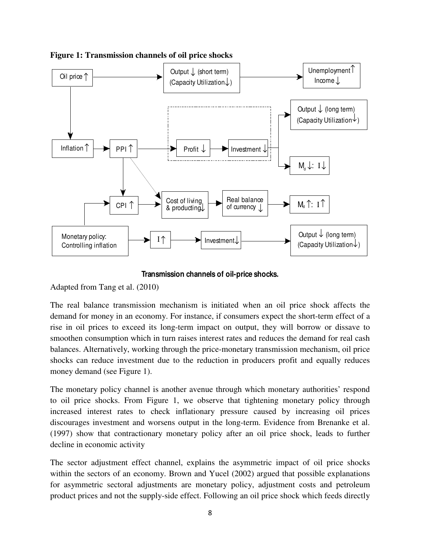

**Figure 1: Transmission channels of oil price shocks** 

**Transmission channels of oil-price shocks.**

Adapted from Tang et al. (2010)

The real balance transmission mechanism is initiated when an oil price shock affects the demand for money in an economy. For instance, if consumers expect the short-term effect of a rise in oil prices to exceed its long-term impact on output, they will borrow or dissave to smoothen consumption which in turn raises interest rates and reduces the demand for real cash balances. Alternatively, working through the price-monetary transmission mechanism, oil price shocks can reduce investment due to the reduction in producers profit and equally reduces money demand (see Figure 1).

The monetary policy channel is another avenue through which monetary authorities' respond to oil price shocks. From Figure 1, we observe that tightening monetary policy through increased interest rates to check inflationary pressure caused by increasing oil prices discourages investment and worsens output in the long-term. Evidence from Brenanke et al. (1997) show that contractionary monetary policy after an oil price shock, leads to further decline in economic activity

The sector adjustment effect channel, explains the asymmetric impact of oil price shocks within the sectors of an economy. Brown and Yucel (2002) argued that possible explanations for asymmetric sectoral adjustments are monetary policy, adjustment costs and petroleum product prices and not the supply-side effect. Following an oil price shock which feeds directly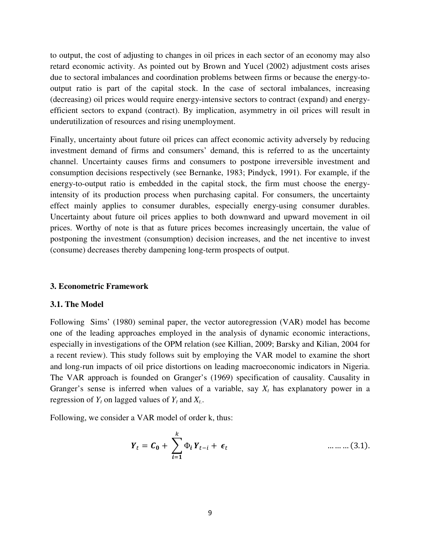to output, the cost of adjusting to changes in oil prices in each sector of an economy may also retard economic activity. As pointed out by Brown and Yucel (2002) adjustment costs arises due to sectoral imbalances and coordination problems between firms or because the energy-tooutput ratio is part of the capital stock. In the case of sectoral imbalances, increasing (decreasing) oil prices would require energy-intensive sectors to contract (expand) and energyefficient sectors to expand (contract). By implication, asymmetry in oil prices will result in underutilization of resources and rising unemployment.

Finally, uncertainty about future oil prices can affect economic activity adversely by reducing investment demand of firms and consumers' demand, this is referred to as the uncertainty channel. Uncertainty causes firms and consumers to postpone irreversible investment and consumption decisions respectively (see Bernanke, 1983; Pindyck, 1991). For example, if the energy-to-output ratio is embedded in the capital stock, the firm must choose the energyintensity of its production process when purchasing capital. For consumers, the uncertainty effect mainly applies to consumer durables, especially energy-using consumer durables. Uncertainty about future oil prices applies to both downward and upward movement in oil prices. Worthy of note is that as future prices becomes increasingly uncertain, the value of postponing the investment (consumption) decision increases, and the net incentive to invest (consume) decreases thereby dampening long-term prospects of output.

#### **3. Econometric Framework**

#### **3.1. The Model**

Following Sims' (1980) seminal paper, the vector autoregression (VAR) model has become one of the leading approaches employed in the analysis of dynamic economic interactions, especially in investigations of the OPM relation (see Killian, 2009; Barsky and Kilian, 2004 for a recent review). This study follows suit by employing the VAR model to examine the short and long-run impacts of oil price distortions on leading macroeconomic indicators in Nigeria. The VAR approach is founded on Granger's (1969) specification of causality. Causality in Granger's sense is inferred when values of a variable, say  $X_t$  has explanatory power in a regression of  $Y_t$  on lagged values of  $Y_t$  and  $X_t$ .

Following, we consider a VAR model of order k, thus:

$$
Y_{t} = C_{0} + \sum_{i=1}^{k} \Phi_{i} Y_{t-i} + \epsilon_{t}
$$
 .........(3.1).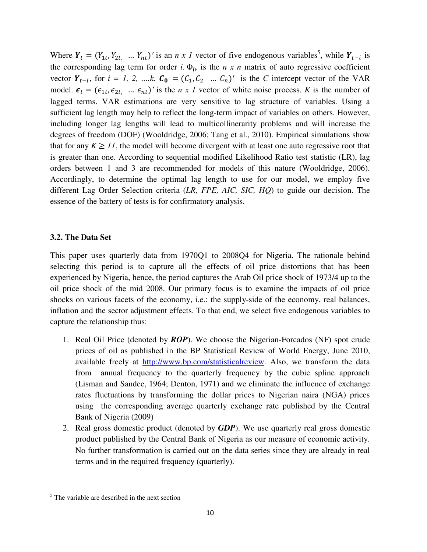Where  $Y_t = (Y_{1t}, Y_{2t}, \dots, Y_{nt})'$  is an *n x 1* vector of five endogenous variables<sup>5</sup>, while  $Y_{t-i}$  is the corresponding lag term for order *i*.  $\Phi_i$  is the *n x n* matrix of auto regressive coefficient vector  $Y_{t-i}$ , for  $i = 1, 2, \dots, k$ .  $C_0 = (C_1, C_2, \dots, C_n)'$  is the *C* intercept vector of the VAR model.  $\epsilon_t = (\epsilon_{1t}, \epsilon_{2t}, \dots, \epsilon_{nt})'$  is the *n x l* vector of white noise process. *K* is the number of lagged terms. VAR estimations are very sensitive to lag structure of variables. Using a sufficient lag length may help to reflect the long-term impact of variables on others. However, including longer lag lengths will lead to multicollinerarity problems and will increase the degrees of freedom (DOF) (Wooldridge, 2006; Tang et al., 2010). Empirical simulations show that for any  $K \geq 11$ , the model will become divergent with at least one auto regressive root that is greater than one. According to sequential modified Likelihood Ratio test statistic (LR), lag orders between 1 and 3 are recommended for models of this nature (Wooldridge, 2006). Accordingly, to determine the optimal lag length to use for our model, we employ five different Lag Order Selection criteria (*LR, FPE, AIC, SIC, HQ*) to guide our decision. The essence of the battery of tests is for confirmatory analysis.

### **3.2. The Data Set**

This paper uses quarterly data from 1970Q1 to 2008Q4 for Nigeria. The rationale behind selecting this period is to capture all the effects of oil price distortions that has been experienced by Nigeria, hence, the period captures the Arab Oil price shock of 1973/4 up to the oil price shock of the mid 2008. Our primary focus is to examine the impacts of oil price shocks on various facets of the economy, i.e.: the supply-side of the economy, real balances, inflation and the sector adjustment effects. To that end, we select five endogenous variables to capture the relationship thus:

- 1. Real Oil Price (denoted by *ROP*). We choose the Nigerian-Forcados (NF) spot crude prices of oil as published in the BP Statistical Review of World Energy, June 2010, available freely at http://www.bp.com/statisticalreview. Also, we transform the data from annual frequency to the quarterly frequency by the cubic spline approach (Lisman and Sandee, 1964; Denton, 1971) and we eliminate the influence of exchange rates fluctuations by transforming the dollar prices to Nigerian naira (NGA) prices using the corresponding average quarterly exchange rate published by the Central Bank of Nigeria (2009)
- 2. Real gross domestic product (denoted by *GDP*). We use quarterly real gross domestic product published by the Central Bank of Nigeria as our measure of economic activity. No further transformation is carried out on the data series since they are already in real terms and in the required frequency (quarterly).

<sup>&</sup>lt;sup>5</sup> The variable are described in the next section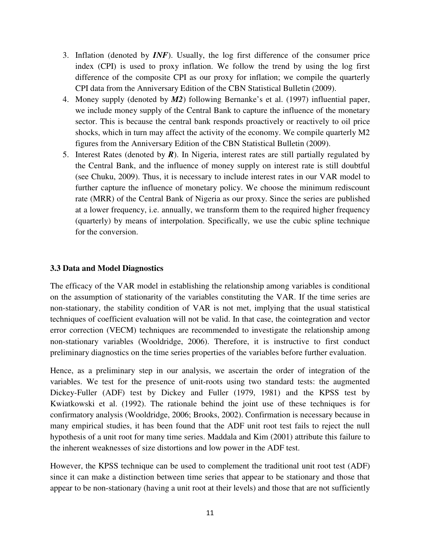- 3. Inflation (denoted by *INF*). Usually, the log first difference of the consumer price index (CPI) is used to proxy inflation. We follow the trend by using the log first difference of the composite CPI as our proxy for inflation; we compile the quarterly CPI data from the Anniversary Edition of the CBN Statistical Bulletin (2009).
- 4. Money supply (denoted by *M2*) following Bernanke's et al. (1997) influential paper, we include money supply of the Central Bank to capture the influence of the monetary sector. This is because the central bank responds proactively or reactively to oil price shocks, which in turn may affect the activity of the economy. We compile quarterly M2 figures from the Anniversary Edition of the CBN Statistical Bulletin (2009).
- 5. Interest Rates (denoted by *R*). In Nigeria, interest rates are still partially regulated by the Central Bank, and the influence of money supply on interest rate is still doubtful (see Chuku, 2009). Thus, it is necessary to include interest rates in our VAR model to further capture the influence of monetary policy. We choose the minimum rediscount rate (MRR) of the Central Bank of Nigeria as our proxy. Since the series are published at a lower frequency, i.e. annually, we transform them to the required higher frequency (quarterly) by means of interpolation. Specifically, we use the cubic spline technique for the conversion.

## **3.3 Data and Model Diagnostics**

The efficacy of the VAR model in establishing the relationship among variables is conditional on the assumption of stationarity of the variables constituting the VAR. If the time series are non-stationary, the stability condition of VAR is not met, implying that the usual statistical techniques of coefficient evaluation will not be valid. In that case, the cointegration and vector error correction (VECM) techniques are recommended to investigate the relationship among non-stationary variables (Wooldridge, 2006). Therefore, it is instructive to first conduct preliminary diagnostics on the time series properties of the variables before further evaluation.

Hence, as a preliminary step in our analysis, we ascertain the order of integration of the variables. We test for the presence of unit-roots using two standard tests: the augmented Dickey-Fuller (ADF) test by Dickey and Fuller (1979, 1981) and the KPSS test by Kwiatkowski et al. (1992). The rationale behind the joint use of these techniques is for confirmatory analysis (Wooldridge, 2006; Brooks, 2002). Confirmation is necessary because in many empirical studies, it has been found that the ADF unit root test fails to reject the null hypothesis of a unit root for many time series. Maddala and Kim (2001) attribute this failure to the inherent weaknesses of size distortions and low power in the ADF test.

However, the KPSS technique can be used to complement the traditional unit root test (ADF) since it can make a distinction between time series that appear to be stationary and those that appear to be non-stationary (having a unit root at their levels) and those that are not sufficiently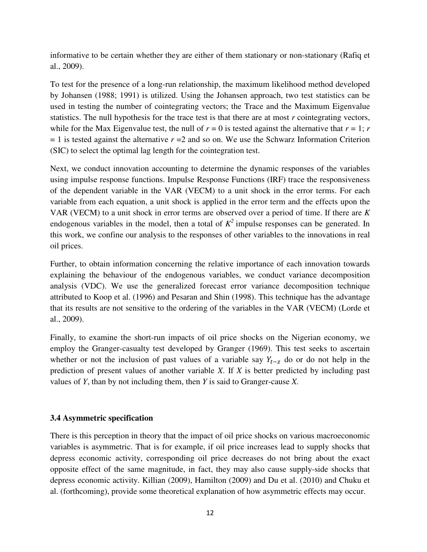informative to be certain whether they are either of them stationary or non-stationary (Rafiq et al., 2009).

To test for the presence of a long-run relationship, the maximum likelihood method developed by Johansen (1988; 1991) is utilized. Using the Johansen approach, two test statistics can be used in testing the number of cointegrating vectors; the Trace and the Maximum Eigenvalue statistics. The null hypothesis for the trace test is that there are at most *r* cointegrating vectors, while for the Max Eigenvalue test, the null of  $r = 0$  is tested against the alternative that  $r = 1$ ; *r*  $r = 1$  is tested against the alternative  $r = 2$  and so on. We use the Schwarz Information Criterion (SIC) to select the optimal lag length for the cointegration test.

Next, we conduct innovation accounting to determine the dynamic responses of the variables using impulse response functions. Impulse Response Functions (IRF) trace the responsiveness of the dependent variable in the VAR (VECM) to a unit shock in the error terms. For each variable from each equation, a unit shock is applied in the error term and the effects upon the VAR (VECM) to a unit shock in error terms are observed over a period of time. If there are *K* endogenous variables in the model, then a total of  $K^2$  impulse responses can be generated. In this work, we confine our analysis to the responses of other variables to the innovations in real oil prices.

Further, to obtain information concerning the relative importance of each innovation towards explaining the behaviour of the endogenous variables, we conduct variance decomposition analysis (VDC). We use the generalized forecast error variance decomposition technique attributed to Koop et al. (1996) and Pesaran and Shin (1998). This technique has the advantage that its results are not sensitive to the ordering of the variables in the VAR (VECM) (Lorde et al., 2009).

Finally, to examine the short-run impacts of oil price shocks on the Nigerian economy, we employ the Granger-casualty test developed by Granger (1969). This test seeks to ascertain whether or not the inclusion of past values of a variable say  $Y_{t-z}$  do or do not help in the prediction of present values of another variable *X*. If *X* is better predicted by including past values of *Y*, than by not including them, then *Y* is said to Granger-cause *X.* 

#### **3.4 Asymmetric specification**

There is this perception in theory that the impact of oil price shocks on various macroeconomic variables is asymmetric. That is for example, if oil price increases lead to supply shocks that depress economic activity, corresponding oil price decreases do not bring about the exact opposite effect of the same magnitude, in fact, they may also cause supply-side shocks that depress economic activity. Killian (2009), Hamilton (2009) and Du et al. (2010) and Chuku et al. (forthcoming), provide some theoretical explanation of how asymmetric effects may occur.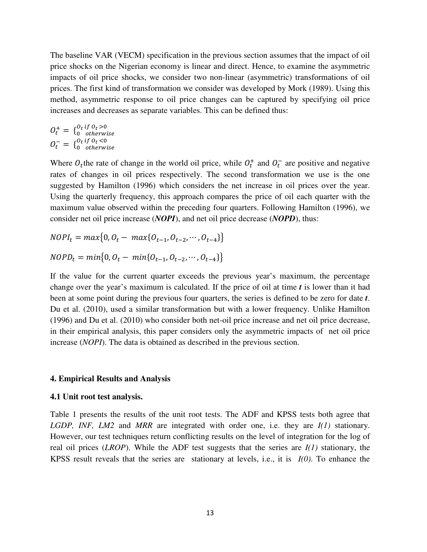The baseline VAR (VECM) specification in the previous section assumes that the impact of oil price shocks on the Nigerian economy is linear and direct. Hence, to examine the asymmetric impacts of oil price shocks, we consider two non-linear (asymmetric) transformations of oil prices. The first kind of transformation we consider was developed by Mork (1989). Using this method, asymmetric response to oil price changes can be captured by specifying oil price increases and decreases as separate variables. This can be defined thus:

 $O_t^+ = \{ \begin{matrix} O_t & U & O_t & > 0 \\ 0 & 0 & 0 \end{matrix} \}$ O<sub>t</sub> if O<sub>t</sub> >0<br>0 otherwise  $O_t^- = \{_{0}^{O_t}VU_t<0}_{0}^{U_t<0}$ 0<sub>t</sub> if 0<sub>t</sub> <0<br>0 otherwise

Where  $O_t$ the rate of change in the world oil price, while  $O_t^+$  and  $O_t^-$  are positive and negative rates of changes in oil prices respectively. The second transformation we use is the one suggested by Hamilton (1996) which considers the net increase in oil prices over the year. Using the quarterly frequency, this approach compares the price of oil each quarter with the maximum value observed within the preceding four quarters. Following Hamilton (1996), we consider net oil price increase (*NOPI*), and net oil price decrease (*NOPD*), thus:

$$
NOPI_t = max\{0, O_t - max\{O_{t-1}, O_{t-2}, \cdots, O_{t-4}\}\}
$$

$$
NOPD_t = min\{0, O_t - min\{O_{t-1}, O_{t-2}, \cdots, O_{t-4}\}\}
$$

If the value for the current quarter exceeds the previous year's maximum, the percentage change over the year's maximum is calculated. If the price of oil at time *t* is lower than it had been at some point during the previous four quarters, the series is defined to be zero for date *t*. Du et al. (2010), used a similar transformation but with a lower frequency. Unlike Hamilton (1996) and Du et al. (2010) who consider both net-oil price increase and net oil price decrease, in their empirical analysis, this paper considers only the asymmetric impacts of net oil price increase (*NOPI*). The data is obtained as described in the previous section.

#### **4. Empirical Results and Analysis**

#### **4.1 Unit root test analysis.**

Table 1 presents the results of the unit root tests. The ADF and KPSS tests both agree that *LGDP, INF, LM2* and *MRR* are integrated with order one, i.e. they are *I(1)* stationary. However, our test techniques return conflicting results on the level of integration for the log of real oil prices (*LROP*). While the ADF test suggests that the series are *I(1)* stationary, the KPSS result reveals that the series are stationary at levels, i.e., it is *I(0)*. To enhance the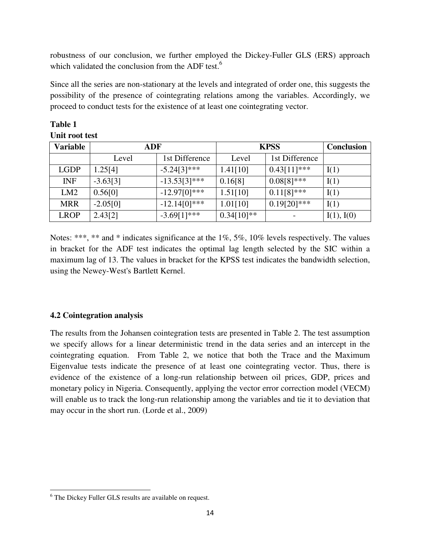robustness of our conclusion, we further employed the Dickey-Fuller GLS (ERS) approach which validated the conclusion from the ADF test.<sup>6</sup>

Since all the series are non-stationary at the levels and integrated of order one, this suggests the possibility of the presence of cointegrating relations among the variables. Accordingly, we proceed to conduct tests for the existence of at least one cointegrating vector.

| <b>Variable</b> | ADF        |                 | <b>KPSS</b>  |                | <b>Conclusion</b> |
|-----------------|------------|-----------------|--------------|----------------|-------------------|
|                 | Level      | 1st Difference  | Level        | 1st Difference |                   |
| <b>LGDP</b>     | 1.25[4]    | $-5.24[3]$ ***  | 1.41[10]     | $0.43[11]$ *** | I(1)              |
| <b>INF</b>      | $-3.63[3]$ | $-13.53[3]***$  | 0.16[8]      | $0.08[8]$ ***  | I(1)              |
| LM2             | 0.56[0]    | $-12.97[0]$ *** | 1.51[10]     | $0.11[8]$ ***  | I(1)              |
| <b>MRR</b>      | $-2.05[0]$ | $-12.14[0]$ *** | 1.01[10]     | $0.19[20]$ *** | I(1)              |
| <b>LROP</b>     | 2.43[2]    | $-3.69[1]***$   | $0.34[10]**$ |                | I(1), I(0)        |

## **Table 1 Unit root test**

Notes: \*\*\*, \*\* and \* indicates significance at the 1%, 5%, 10% levels respectively. The values in bracket for the ADF test indicates the optimal lag length selected by the SIC within a maximum lag of 13. The values in bracket for the KPSS test indicates the bandwidth selection, using the Newey-West's Bartlett Kernel.

## **4.2 Cointegration analysis**

The results from the Johansen cointegration tests are presented in Table 2. The test assumption we specify allows for a linear deterministic trend in the data series and an intercept in the cointegrating equation. From Table 2, we notice that both the Trace and the Maximum Eigenvalue tests indicate the presence of at least one cointegrating vector. Thus, there is evidence of the existence of a long-run relationship between oil prices, GDP, prices and monetary policy in Nigeria. Consequently, applying the vector error correction model (VECM) will enable us to track the long-run relationship among the variables and tie it to deviation that may occur in the short run. (Lorde et al., 2009)

<sup>&</sup>lt;sup>6</sup> The Dickey Fuller GLS results are available on request.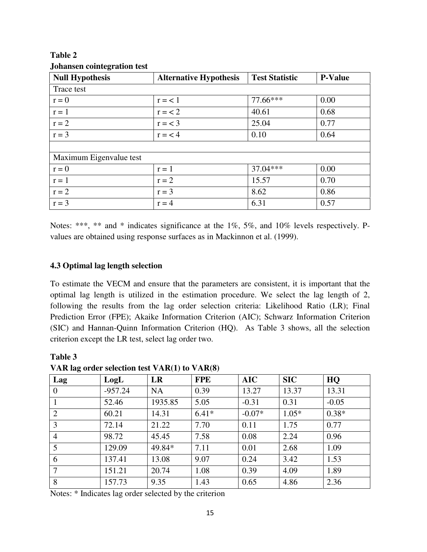| <b>Null Hypothesis</b>  | <b>Alternative Hypothesis</b> | <b>Test Statistic</b> | <b>P-Value</b> |
|-------------------------|-------------------------------|-----------------------|----------------|
| Trace test              |                               |                       |                |
| $r = 0$                 | $r = 1$                       | 77.66***              | 0.00           |
| $r = 1$                 | $r = 2$                       | 40.61                 | 0.68           |
| $r = 2$                 | $r = < 3$                     | 25.04                 | 0.77           |
| $r = 3$                 | $r = < 4$                     | 0.10                  | 0.64           |
|                         |                               |                       |                |
| Maximum Eigenvalue test |                               |                       |                |
| $r = 0$                 | $r = 1$                       | 37.04***              | 0.00           |
| $r = 1$                 | $r = 2$                       | 15.57                 | 0.70           |
| $r = 2$                 | $r = 3$                       | 8.62                  | 0.86           |
| $r = 3$                 | $r = 4$                       | 6.31                  | 0.57           |

## **Table 2 Johansen cointegration test**

Notes: \*\*\*, \*\* and \* indicates significance at the 1%, 5%, and 10% levels respectively. Pvalues are obtained using response surfaces as in Mackinnon et al. (1999).

## **4.3 Optimal lag length selection**

**Table 3** 

To estimate the VECM and ensure that the parameters are consistent, it is important that the optimal lag length is utilized in the estimation procedure. We select the lag length of 2, following the results from the lag order selection criteria: Likelihood Ratio (LR); Final Prediction Error (FPE); Akaike Information Criterion (AIC); Schwarz Information Criterion (SIC) and Hannan-Quinn Information Criterion (HQ). As Table 3 shows, all the selection criterion except the LR test, select lag order two.

| $\frac{1}{1111}$ in $\frac{1}{111}$ of $\frac{1}{1111}$ of $\frac{1}{1111}$ in $\frac{1}{1111}$ in $\frac{1}{1111}$ |           |           |            |            |            |         |  |
|---------------------------------------------------------------------------------------------------------------------|-----------|-----------|------------|------------|------------|---------|--|
| Lag                                                                                                                 | LogL      | LR        | <b>FPE</b> | <b>AIC</b> | <b>SIC</b> | HQ      |  |
| $\overline{0}$                                                                                                      | $-957.24$ | <b>NA</b> | 0.39       | 13.27      | 13.37      | 13.31   |  |
|                                                                                                                     | 52.46     | 1935.85   | 5.05       | $-0.31$    | 0.31       | $-0.05$ |  |
| $\overline{2}$                                                                                                      | 60.21     | 14.31     | $6.41*$    | $-0.07*$   | $1.05*$    | $0.38*$ |  |
| 3                                                                                                                   | 72.14     | 21.22     | 7.70       | 0.11       | 1.75       | 0.77    |  |
| $\overline{4}$                                                                                                      | 98.72     | 45.45     | 7.58       | 0.08       | 2.24       | 0.96    |  |
| 5                                                                                                                   | 129.09    | 49.84*    | 7.11       | 0.01       | 2.68       | 1.09    |  |
| 6                                                                                                                   | 137.41    | 13.08     | 9.07       | 0.24       | 3.42       | 1.53    |  |
| 7                                                                                                                   | 151.21    | 20.74     | 1.08       | 0.39       | 4.09       | 1.89    |  |
| 8                                                                                                                   | 157.73    | 9.35      | 1.43       | 0.65       | 4.86       | 2.36    |  |

**VAR lag order selection test VAR(1) to VAR(8)** 

Notes: \* Indicates lag order selected by the criterion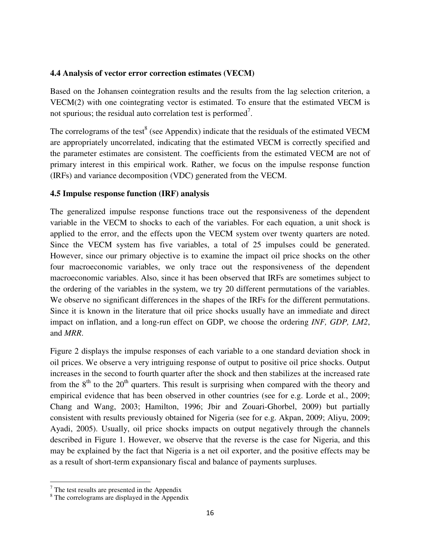### **4.4 Analysis of vector error correction estimates (VECM)**

Based on the Johansen cointegration results and the results from the lag selection criterion, a VECM(2) with one cointegrating vector is estimated. To ensure that the estimated VECM is not spurious; the residual auto correlation test is performed<sup>7</sup>.

The correlograms of the test<sup>8</sup> (see Appendix) indicate that the residuals of the estimated VECM are appropriately uncorrelated, indicating that the estimated VECM is correctly specified and the parameter estimates are consistent. The coefficients from the estimated VECM are not of primary interest in this empirical work. Rather, we focus on the impulse response function (IRFs) and variance decomposition (VDC) generated from the VECM.

### **4.5 Impulse response function (IRF) analysis**

The generalized impulse response functions trace out the responsiveness of the dependent variable in the VECM to shocks to each of the variables. For each equation, a unit shock is applied to the error, and the effects upon the VECM system over twenty quarters are noted. Since the VECM system has five variables, a total of 25 impulses could be generated. However, since our primary objective is to examine the impact oil price shocks on the other four macroeconomic variables, we only trace out the responsiveness of the dependent macroeconomic variables. Also, since it has been observed that IRFs are sometimes subject to the ordering of the variables in the system, we try 20 different permutations of the variables. We observe no significant differences in the shapes of the IRFs for the different permutations. Since it is known in the literature that oil price shocks usually have an immediate and direct impact on inflation, and a long-run effect on GDP, we choose the ordering *INF, GDP, LM2*, and *MRR*.

Figure 2 displays the impulse responses of each variable to a one standard deviation shock in oil prices. We observe a very intriguing response of output to positive oil price shocks. Output increases in the second to fourth quarter after the shock and then stabilizes at the increased rate from the  $8<sup>th</sup>$  to the  $20<sup>th</sup>$  quarters. This result is surprising when compared with the theory and empirical evidence that has been observed in other countries (see for e.g. Lorde et al., 2009; Chang and Wang, 2003; Hamilton, 1996; Jbir and Zouari-Ghorbel, 2009) but partially consistent with results previously obtained for Nigeria (see for e.g. Akpan, 2009; Aliyu, 2009; Ayadi, 2005). Usually, oil price shocks impacts on output negatively through the channels described in Figure 1. However, we observe that the reverse is the case for Nigeria, and this may be explained by the fact that Nigeria is a net oil exporter, and the positive effects may be as a result of short-term expansionary fiscal and balance of payments surpluses.

 $7$  The test results are presented in the Appendix

<sup>&</sup>lt;sup>8</sup> The correlograms are displayed in the Appendix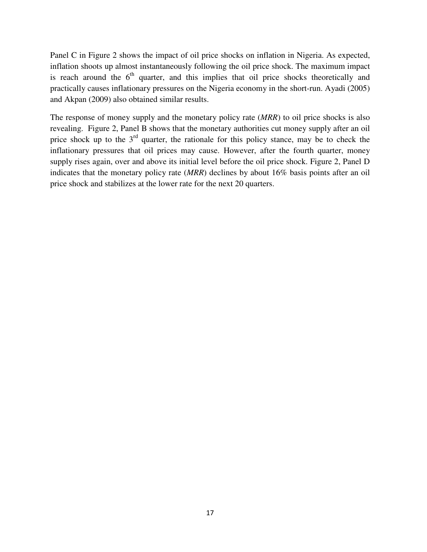Panel C in Figure 2 shows the impact of oil price shocks on inflation in Nigeria. As expected, inflation shoots up almost instantaneously following the oil price shock. The maximum impact is reach around the  $6<sup>th</sup>$  quarter, and this implies that oil price shocks theoretically and practically causes inflationary pressures on the Nigeria economy in the short-run. Ayadi (2005) and Akpan (2009) also obtained similar results.

The response of money supply and the monetary policy rate (*MRR*) to oil price shocks is also revealing. Figure 2, Panel B shows that the monetary authorities cut money supply after an oil price shock up to the  $3<sup>rd</sup>$  quarter, the rationale for this policy stance, may be to check the inflationary pressures that oil prices may cause. However, after the fourth quarter, money supply rises again, over and above its initial level before the oil price shock. Figure 2, Panel D indicates that the monetary policy rate (*MRR*) declines by about 16% basis points after an oil price shock and stabilizes at the lower rate for the next 20 quarters.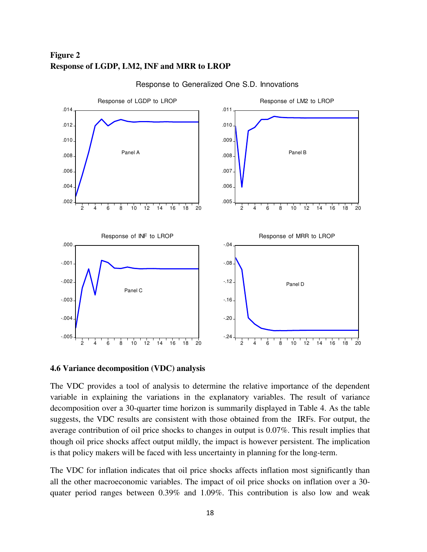## **Figure 2 Response of LGDP, LM2, INF and MRR to LROP**



#### Response to Generalized One S.D. Innovations

**4.6 Variance decomposition (VDC) analysis** 

The VDC provides a tool of analysis to determine the relative importance of the dependent variable in explaining the variations in the explanatory variables. The result of variance decomposition over a 30-quarter time horizon is summarily displayed in Table 4. As the table suggests, the VDC results are consistent with those obtained from the IRFs. For output, the average contribution of oil price shocks to changes in output is 0.07%. This result implies that though oil price shocks affect output mildly, the impact is however persistent. The implication is that policy makers will be faced with less uncertainty in planning for the long-term.

The VDC for inflation indicates that oil price shocks affects inflation most significantly than all the other macroeconomic variables. The impact of oil price shocks on inflation over a 30 quater period ranges between 0.39% and 1.09%. This contribution is also low and weak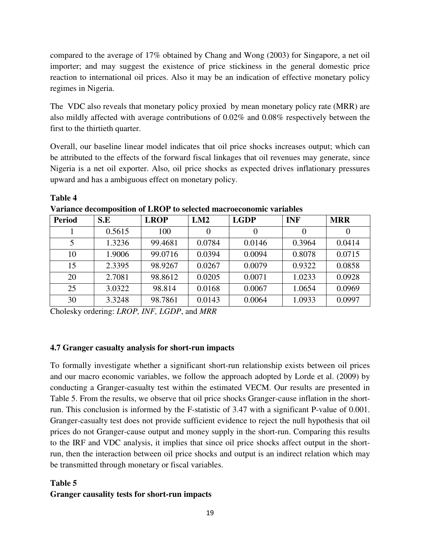compared to the average of 17% obtained by Chang and Wong (2003) for Singapore, a net oil importer; and may suggest the existence of price stickiness in the general domestic price reaction to international oil prices. Also it may be an indication of effective monetary policy regimes in Nigeria.

The VDC also reveals that monetary policy proxied by mean monetary policy rate (MRR) are also mildly affected with average contributions of 0.02% and 0.08% respectively between the first to the thirtieth quarter.

Overall, our baseline linear model indicates that oil price shocks increases output; which can be attributed to the effects of the forward fiscal linkages that oil revenues may generate, since Nigeria is a net oil exporter. Also, oil price shocks as expected drives inflationary pressures upward and has a ambiguous effect on monetary policy.

| <b>Period</b> | S.E    | <b>LROP</b> | LM2    | <b>LGDP</b> | <b>INF</b> | <b>MRR</b> |
|---------------|--------|-------------|--------|-------------|------------|------------|
|               | 0.5615 | 100         |        |             |            |            |
| 5             | 1.3236 | 99.4681     | 0.0784 | 0.0146      | 0.3964     | 0.0414     |
| 10            | 1.9006 | 99.0716     | 0.0394 | 0.0094      | 0.8078     | 0.0715     |
| 15            | 2.3395 | 98.9267     | 0.0267 | 0.0079      | 0.9322     | 0.0858     |
| 20            | 2.7081 | 98.8612     | 0.0205 | 0.0071      | 1.0233     | 0.0928     |
| 25            | 3.0322 | 98.814      | 0.0168 | 0.0067      | 1.0654     | 0.0969     |
| 30            | 3.3248 | 98.7861     | 0.0143 | 0.0064      | 1.0933     | 0.0997     |

**Table 4** 

**Variance decomposition of LROP to selected macroeconomic variables** 

Cholesky ordering: *LROP, INF, LGDP*, and *MRR*

### **4.7 Granger casualty analysis for short-run impacts**

To formally investigate whether a significant short-run relationship exists between oil prices and our macro economic variables, we follow the approach adopted by Lorde et al. (2009) by conducting a Granger-casualty test within the estimated VECM. Our results are presented in Table 5. From the results, we observe that oil price shocks Granger-cause inflation in the shortrun. This conclusion is informed by the F-statistic of 3.47 with a significant P-value of 0.001. Granger-casualty test does not provide sufficient evidence to reject the null hypothesis that oil prices do not Granger-cause output and money supply in the short-run. Comparing this results to the IRF and VDC analysis, it implies that since oil price shocks affect output in the shortrun, then the interaction between oil price shocks and output is an indirect relation which may be transmitted through monetary or fiscal variables.

### **Table 5**

### **Granger causality tests for short-run impacts**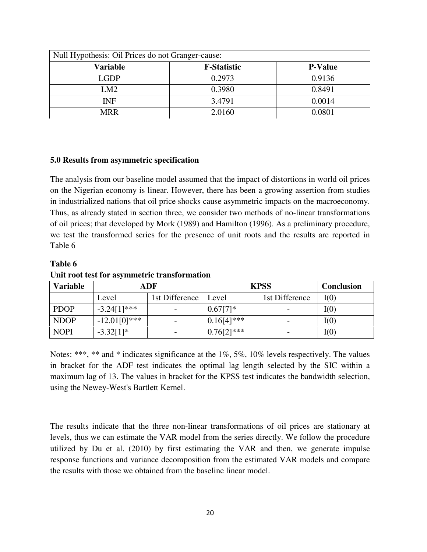| Null Hypothesis: Oil Prices do not Granger-cause: |                    |                |  |  |  |
|---------------------------------------------------|--------------------|----------------|--|--|--|
| <b>Variable</b>                                   | <b>F-Statistic</b> | <b>P-Value</b> |  |  |  |
| <b>LGDP</b>                                       | 0.2973             | 0.9136         |  |  |  |
| LM2                                               | 0.3980             | 0.8491         |  |  |  |
| INF                                               | 3.4791             | 0.0014         |  |  |  |
| <b>MRR</b>                                        | 2.0160             | 0.0801         |  |  |  |

#### **5.0 Results from asymmetric specification**

The analysis from our baseline model assumed that the impact of distortions in world oil prices on the Nigerian economy is linear. However, there has been a growing assertion from studies in industrialized nations that oil price shocks cause asymmetric impacts on the macroeconomy. Thus, as already stated in section three, we consider two methods of no-linear transformations of oil prices; that developed by Mork (1989) and Hamilton (1996). As a preliminary procedure, we test the transformed series for the presence of unit roots and the results are reported in Table 6

#### **Table 6**

**Unit root test for asymmetric transformation** 

| <b>Variable</b> | ADF             |                | <b>KPSS</b>   | <b>Conclusion</b> |      |
|-----------------|-----------------|----------------|---------------|-------------------|------|
|                 | Level           | 1st Difference | Level         | 1st Difference    | I(0) |
| <b>PDOP</b>     | $-3.24[1]***$   |                | $0.67[7]*$    |                   | I(0) |
| <b>NDOP</b>     | $-12.01[0]$ *** |                | $0.16[4]$ *** |                   | I(0) |
| <b>NOPI</b>     | $-3.32[1]*$     |                | $0.76[2]***$  |                   | I(0) |

Notes: \*\*\*, \*\* and \* indicates significance at the 1%, 5%, 10% levels respectively. The values in bracket for the ADF test indicates the optimal lag length selected by the SIC within a maximum lag of 13. The values in bracket for the KPSS test indicates the bandwidth selection, using the Newey-West's Bartlett Kernel.

The results indicate that the three non-linear transformations of oil prices are stationary at levels, thus we can estimate the VAR model from the series directly. We follow the procedure utilized by Du et al. (2010) by first estimating the VAR and then, we generate impulse response functions and variance decomposition from the estimated VAR models and compare the results with those we obtained from the baseline linear model.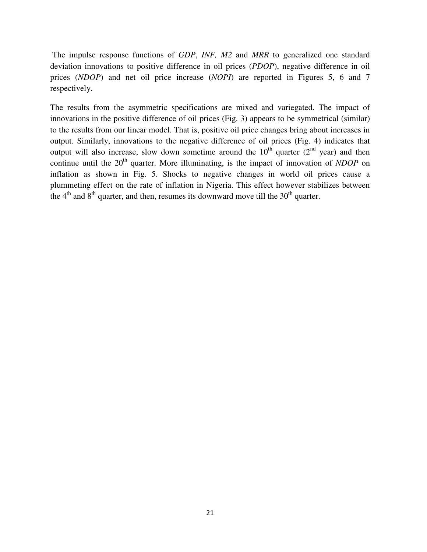The impulse response functions of *GDP*, *INF, M2* and *MRR* to generalized one standard deviation innovations to positive difference in oil prices (*PDOP*), negative difference in oil prices (*NDOP*) and net oil price increase (*NOPI*) are reported in Figures 5, 6 and 7 respectively.

The results from the asymmetric specifications are mixed and variegated. The impact of innovations in the positive difference of oil prices (Fig. 3) appears to be symmetrical (similar) to the results from our linear model. That is, positive oil price changes bring about increases in output. Similarly, innovations to the negative difference of oil prices (Fig. 4) indicates that output will also increase, slow down sometime around the  $10^{th}$  quarter ( $2^{nd}$  year) and then continue until the 20<sup>th</sup> quarter. More illuminating, is the impact of innovation of *NDOP* on inflation as shown in Fig. 5. Shocks to negative changes in world oil prices cause a plummeting effect on the rate of inflation in Nigeria. This effect however stabilizes between the  $4<sup>th</sup>$  and  $8<sup>th</sup>$  quarter, and then, resumes its downward move till the  $30<sup>th</sup>$  quarter.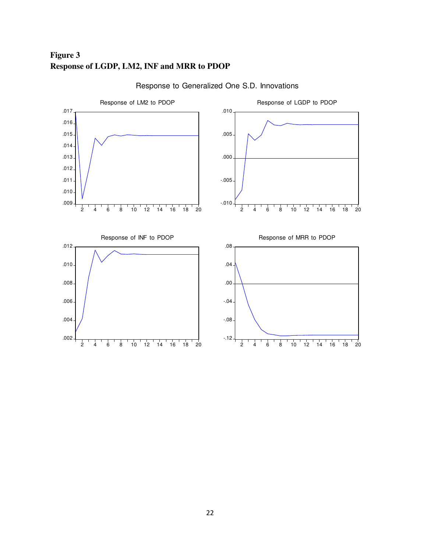## **Figure 3 Response of LGDP, LM2, INF and MRR to PDOP**



Response to Generalized One S.D. Innovations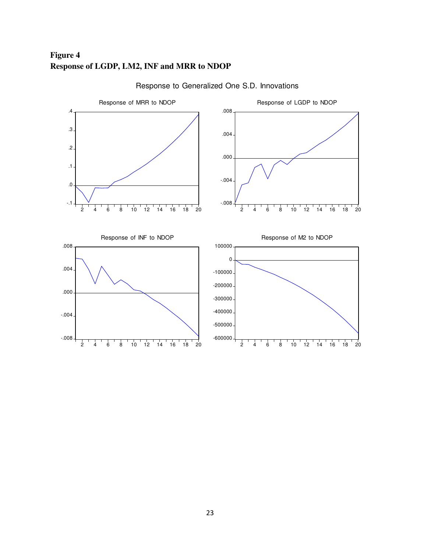## **Figure 4 Response of LGDP, LM2, INF and MRR to NDOP**



## Response to Generalized One S.D. Innovations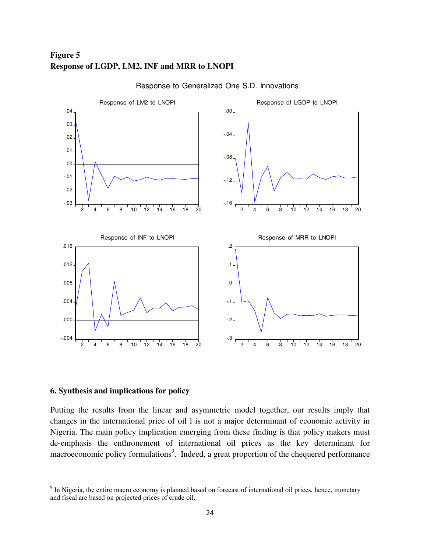## **Figure 5 Response of LGDP, LM2, INF and MRR to LNOPI**



Response to Generalized One S.D. Innovations

#### **6. Synthesis and implications for policy**

l

Putting the results from the linear and asymmetric model together, our results imply that changes in the international price of oil l is not a major determinant of economic activity in Nigeria. The main policy implication emerging from these finding is that policy makers must de-emphasis the enthronement of international oil prices as the key determinant for macroeconomic policy formulations<sup>9</sup>. Indeed, a great proportion of the chequered performance

 $9<sup>9</sup>$  In Nigeria, the entire macro economy is planned based on forecast of international oil prices, hence, monetary and fiscal are based on projected prices of crude oil.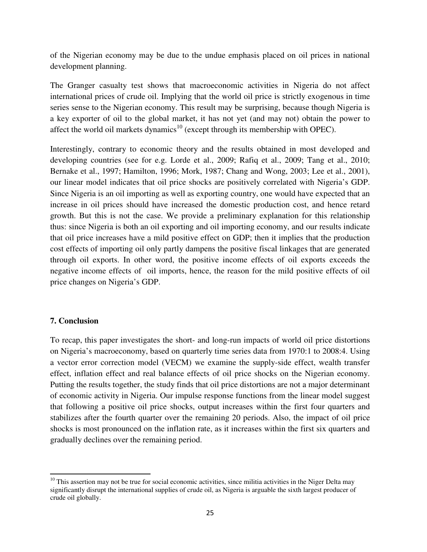of the Nigerian economy may be due to the undue emphasis placed on oil prices in national development planning.

The Granger casualty test shows that macroeconomic activities in Nigeria do not affect international prices of crude oil. Implying that the world oil price is strictly exogenous in time series sense to the Nigerian economy. This result may be surprising, because though Nigeria is a key exporter of oil to the global market, it has not yet (and may not) obtain the power to affect the world oil markets dynamics<sup>10</sup> (except through its membership with OPEC).

Interestingly, contrary to economic theory and the results obtained in most developed and developing countries (see for e.g. Lorde et al., 2009; Rafiq et al., 2009; Tang et al., 2010; Bernake et al., 1997; Hamilton, 1996; Mork, 1987; Chang and Wong, 2003; Lee et al., 2001), our linear model indicates that oil price shocks are positively correlated with Nigeria's GDP. Since Nigeria is an oil importing as well as exporting country, one would have expected that an increase in oil prices should have increased the domestic production cost, and hence retard growth. But this is not the case. We provide a preliminary explanation for this relationship thus: since Nigeria is both an oil exporting and oil importing economy, and our results indicate that oil price increases have a mild positive effect on GDP; then it implies that the production cost effects of importing oil only partly dampens the positive fiscal linkages that are generated through oil exports. In other word, the positive income effects of oil exports exceeds the negative income effects of oil imports, hence, the reason for the mild positive effects of oil price changes on Nigeria's GDP.

### **7. Conclusion**

 $\overline{a}$ 

To recap, this paper investigates the short- and long-run impacts of world oil price distortions on Nigeria's macroeconomy, based on quarterly time series data from 1970:1 to 2008:4. Using a vector error correction model (VECM) we examine the supply-side effect, wealth transfer effect, inflation effect and real balance effects of oil price shocks on the Nigerian economy. Putting the results together, the study finds that oil price distortions are not a major determinant of economic activity in Nigeria. Our impulse response functions from the linear model suggest that following a positive oil price shocks, output increases within the first four quarters and stabilizes after the fourth quarter over the remaining 20 periods. Also, the impact of oil price shocks is most pronounced on the inflation rate, as it increases within the first six quarters and gradually declines over the remaining period.

 $10$  This assertion may not be true for social economic activities, since militia activities in the Niger Delta may significantly disrupt the international supplies of crude oil, as Nigeria is arguable the sixth largest producer of crude oil globally.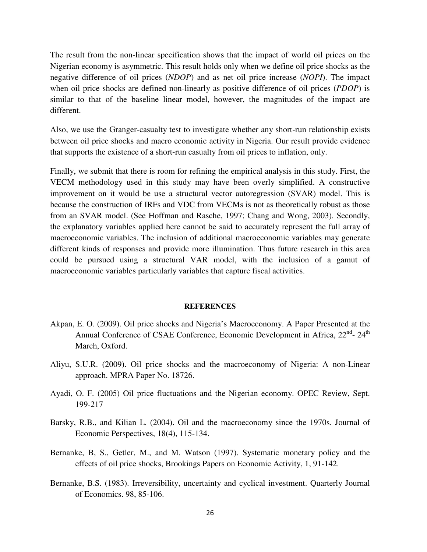The result from the non-linear specification shows that the impact of world oil prices on the Nigerian economy is asymmetric. This result holds only when we define oil price shocks as the negative difference of oil prices (*NDOP*) and as net oil price increase (*NOPI*). The impact when oil price shocks are defined non-linearly as positive difference of oil prices (*PDOP*) is similar to that of the baseline linear model, however, the magnitudes of the impact are different.

Also, we use the Granger-casualty test to investigate whether any short-run relationship exists between oil price shocks and macro economic activity in Nigeria. Our result provide evidence that supports the existence of a short-run casualty from oil prices to inflation, only.

Finally, we submit that there is room for refining the empirical analysis in this study. First, the VECM methodology used in this study may have been overly simplified. A constructive improvement on it would be use a structural vector autoregression (SVAR) model. This is because the construction of IRFs and VDC from VECMs is not as theoretically robust as those from an SVAR model. (See Hoffman and Rasche, 1997; Chang and Wong, 2003). Secondly, the explanatory variables applied here cannot be said to accurately represent the full array of macroeconomic variables. The inclusion of additional macroeconomic variables may generate different kinds of responses and provide more illumination. Thus future research in this area could be pursued using a structural VAR model, with the inclusion of a gamut of macroeconomic variables particularly variables that capture fiscal activities.

#### **REFERENCES**

- Akpan, E. O. (2009). Oil price shocks and Nigeria's Macroeconomy. A Paper Presented at the Annual Conference of CSAE Conference, Economic Development in Africa, 22<sup>nd</sup>- 24<sup>th</sup> March, Oxford.
- Aliyu, S.U.R. (2009). Oil price shocks and the macroeconomy of Nigeria: A non-Linear approach. MPRA Paper No. 18726.
- Ayadi, O. F. (2005) Oil price fluctuations and the Nigerian economy. OPEC Review, Sept. 199-217
- Barsky, R.B., and Kilian L. (2004). Oil and the macroeconomy since the 1970s. Journal of Economic Perspectives, 18(4), 115-134.
- Bernanke, B, S., Getler, M., and M. Watson (1997). Systematic monetary policy and the effects of oil price shocks, Brookings Papers on Economic Activity, 1, 91-142.
- Bernanke, B.S. (1983). Irreversibility, uncertainty and cyclical investment. Quarterly Journal of Economics. 98, 85-106.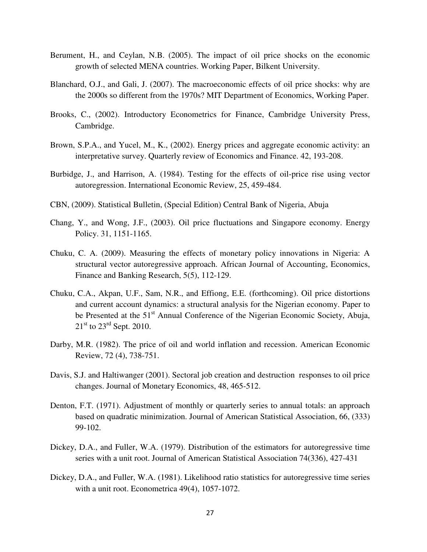- Berument, H., and Ceylan, N.B. (2005). The impact of oil price shocks on the economic growth of selected MENA countries. Working Paper, Bilkent University.
- Blanchard, O.J., and Gali, J. (2007). The macroeconomic effects of oil price shocks: why are the 2000s so different from the 1970s? MIT Department of Economics, Working Paper.
- Brooks, C., (2002). Introductory Econometrics for Finance, Cambridge University Press, Cambridge.
- Brown, S.P.A., and Yucel, M., K., (2002). Energy prices and aggregate economic activity: an interpretative survey. Quarterly review of Economics and Finance. 42, 193-208.
- Burbidge, J., and Harrison, A. (1984). Testing for the effects of oil-price rise using vector autoregression. International Economic Review, 25, 459-484.
- CBN, (2009). Statistical Bulletin, (Special Edition) Central Bank of Nigeria, Abuja
- Chang, Y., and Wong, J.F., (2003). Oil price fluctuations and Singapore economy. Energy Policy. 31, 1151-1165.
- Chuku, C. A. (2009). Measuring the effects of monetary policy innovations in Nigeria: A structural vector autoregressive approach. African Journal of Accounting, Economics, Finance and Banking Research, 5(5), 112-129.
- Chuku, C.A., Akpan, U.F., Sam, N.R., and Effiong, E.E. (forthcoming). Oil price distortions and current account dynamics: a structural analysis for the Nigerian economy. Paper to be Presented at the 51<sup>st</sup> Annual Conference of the Nigerian Economic Society, Abuja,  $21<sup>st</sup>$  to  $23<sup>rd</sup>$  Sept. 2010.
- Darby, M.R. (1982). The price of oil and world inflation and recession. American Economic Review, 72 (4), 738-751.
- Davis, S.J. and Haltiwanger (2001). Sectoral job creation and destruction responses to oil price changes. Journal of Monetary Economics, 48, 465-512.
- Denton, F.T. (1971). Adjustment of monthly or quarterly series to annual totals: an approach based on quadratic minimization. Journal of American Statistical Association, 66, (333) 99-102.
- Dickey, D.A., and Fuller, W.A. (1979). Distribution of the estimators for autoregressive time series with a unit root. Journal of American Statistical Association 74(336), 427-431
- Dickey, D.A., and Fuller, W.A. (1981). Likelihood ratio statistics for autoregressive time series with a unit root. Econometrica 49(4), 1057-1072.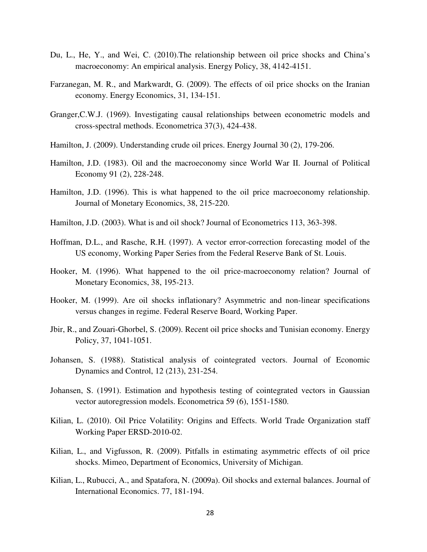- Du, L., He, Y., and Wei, C. (2010).The relationship between oil price shocks and China's macroeconomy: An empirical analysis. Energy Policy, 38, 4142-4151.
- Farzanegan, M. R., and Markwardt, G. (2009). The effects of oil price shocks on the Iranian economy. Energy Economics, 31, 134-151.
- Granger,C.W.J. (1969). Investigating causal relationships between econometric models and cross-spectral methods. Econometrica 37(3), 424-438.
- Hamilton, J. (2009). Understanding crude oil prices. Energy Journal 30 (2), 179-206.
- Hamilton, J.D. (1983). Oil and the macroeconomy since World War II. Journal of Political Economy 91 (2), 228-248.
- Hamilton, J.D. (1996). This is what happened to the oil price macroeconomy relationship. Journal of Monetary Economics, 38, 215-220.
- Hamilton, J.D. (2003). What is and oil shock? Journal of Econometrics 113, 363-398.
- Hoffman, D.L., and Rasche, R.H. (1997). A vector error-correction forecasting model of the US economy, Working Paper Series from the Federal Reserve Bank of St. Louis.
- Hooker, M. (1996). What happened to the oil price-macroeconomy relation? Journal of Monetary Economics, 38, 195-213.
- Hooker, M. (1999). Are oil shocks inflationary? Asymmetric and non-linear specifications versus changes in regime. Federal Reserve Board, Working Paper.
- Jbir, R., and Zouari-Ghorbel, S. (2009). Recent oil price shocks and Tunisian economy. Energy Policy, 37, 1041-1051.
- Johansen, S. (1988). Statistical analysis of cointegrated vectors. Journal of Economic Dynamics and Control, 12 (213), 231-254.
- Johansen, S. (1991). Estimation and hypothesis testing of cointegrated vectors in Gaussian vector autoregression models. Econometrica 59 (6), 1551-1580.
- Kilian, L. (2010). Oil Price Volatility: Origins and Effects. World Trade Organization staff Working Paper ERSD-2010-02.
- Kilian, L., and Vigfusson, R. (2009). Pitfalls in estimating asymmetric effects of oil price shocks. Mimeo, Department of Economics, University of Michigan.
- Kilian, L., Rubucci, A., and Spatafora, N. (2009a). Oil shocks and external balances. Journal of International Economics. 77, 181-194.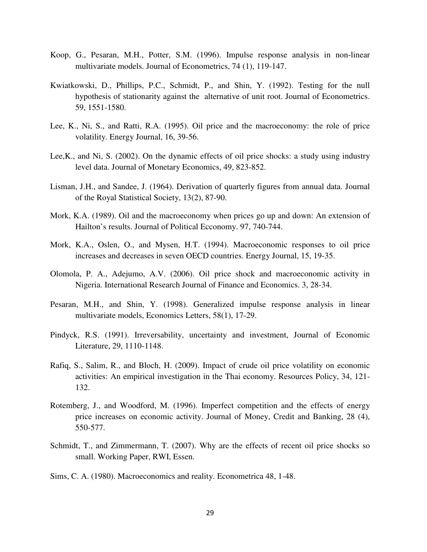- Koop, G., Pesaran, M.H., Potter, S.M. (1996). Impulse response analysis in non-linear multivariate models. Journal of Econometrics, 74 (1), 119-147.
- Kwiatkowski, D., Phillips, P.C., Schmidt, P., and Shin, Y. (1992). Testing for the null hypothesis of stationarity against the alternative of unit root. Journal of Econometrics. 59, 1551-1580.
- Lee, K., Ni, S., and Ratti, R.A. (1995). Oil price and the macroeconomy: the role of price volatility. Energy Journal, 16, 39-56.
- Lee,K., and Ni, S. (2002). On the dynamic effects of oil price shocks: a study using industry level data. Journal of Monetary Economics, 49, 823-852.
- Lisman, J.H., and Sandee, J. (1964). Derivation of quarterly figures from annual data. Journal of the Royal Statistical Society, 13(2), 87-90.
- Mork, K.A. (1989). Oil and the macroeconomy when prices go up and down: An extension of Hailton's results. Journal of Political Ecconomy. 97, 740-744.
- Mork, K.A., Oslen, O., and Mysen, H.T. (1994). Macroeconomic responses to oil price increases and decreases in seven OECD countries. Energy Journal, 15, 19-35.
- Olomola, P. A., Adejumo, A.V. (2006). Oil price shock and macroeconomic activity in Nigeria. International Research Journal of Finance and Economics. 3, 28-34.
- Pesaran, M.H., and Shin, Y. (1998). Generalized impulse response analysis in linear multivariate models, Economics Letters, 58(1), 17-29.
- Pindyck, R.S. (1991). Irreversability, uncertainty and investment, Journal of Economic Literature, 29, 1110-1148.
- Rafiq, S., Salim, R., and Bloch, H. (2009). Impact of crude oil price volatility on economic activities: An empirical investigation in the Thai economy. Resources Policy, 34, 121- 132.
- Rotemberg, J., and Woodford, M. (1996). Imperfect competition and the effects of energy price increases on economic activity. Journal of Money, Credit and Banking, 28 (4), 550-577.
- Schmidt, T., and Zimmermann, T. (2007). Why are the effects of recent oil price shocks so small. Working Paper, RWI, Essen.
- Sims, C. A. (1980). Macroeconomics and reality. Econometrica 48, 1-48.